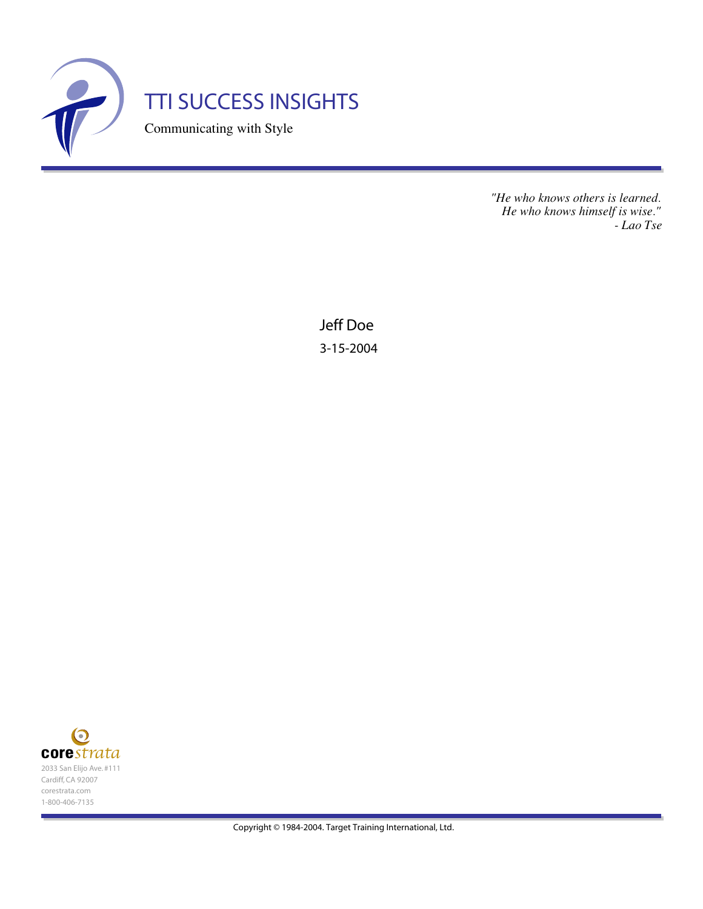

*"He who knows others is learned. He who knows himself is wise." - Lao Tse*

Jeff Doe 3-15-2004

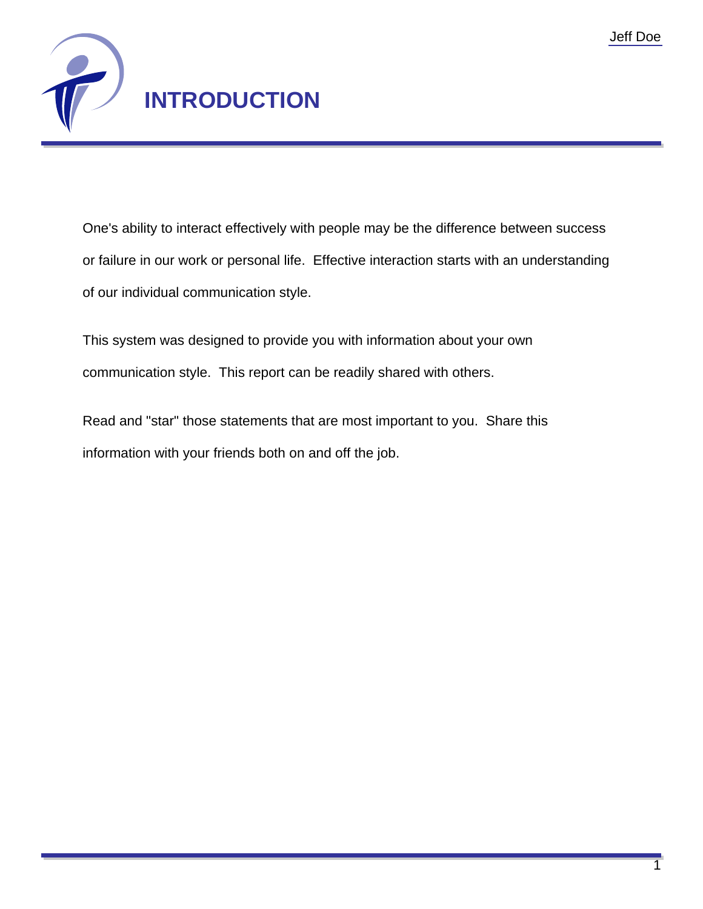

One's ability to interact effectively with people may be the difference between success or failure in our work or personal life. Effective interaction starts with an understanding of our individual communication style.

This system was designed to provide you with information about your own communication style. This report can be readily shared with others.

Read and "star" those statements that are most important to you. Share this information with your friends both on and off the job.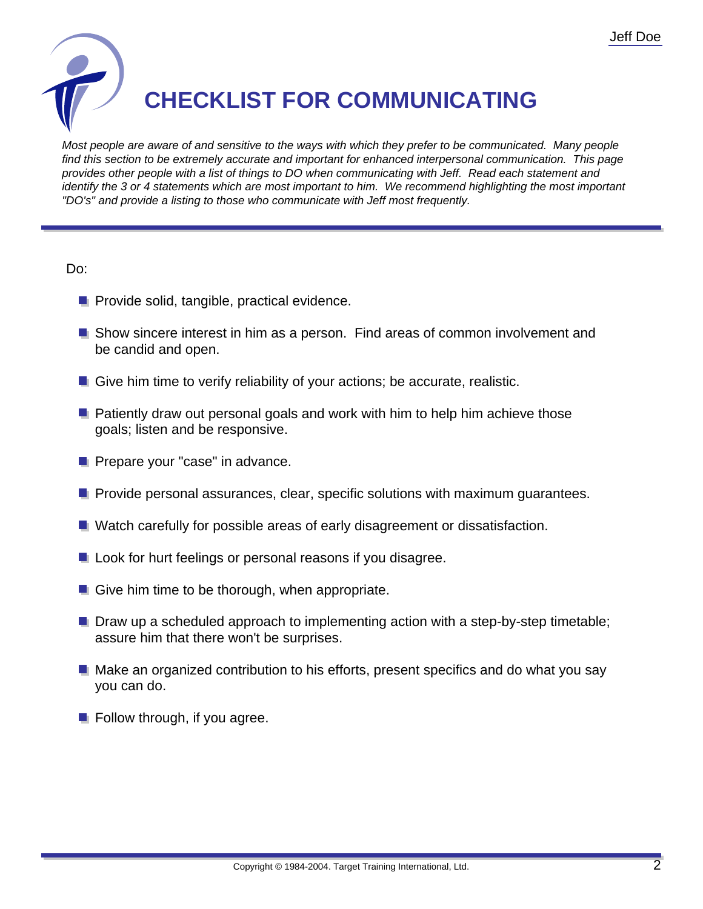

## **CHECKLIST FOR COMMUNICATING**

Most people are aware of and sensitive to the ways with which they prefer to be communicated. Many people find this section to be extremely accurate and important for enhanced interpersonal communication. This page provides other people with a list of things to DO when communicating with Jeff. Read each statement and identify the 3 or 4 statements which are most important to him. We recommend highlighting the most important "DO's" and provide a listing to those who communicate with Jeff most frequently.

## Do:

- **Provide solid, tangible, practical evidence.**
- **Show sincere interest in him as a person. Find areas of common involvement and** be candid and open.
- Give him time to verify reliability of your actions; be accurate, realistic.
- **P** Patiently draw out personal goals and work with him to help him achieve those goals; listen and be responsive.
- **Prepare your "case" in advance.**
- **P** Provide personal assurances, clear, specific solutions with maximum quarantees.
- **N** Watch carefully for possible areas of early disagreement or dissatisfaction.
- **L** Look for hurt feelings or personal reasons if you disagree.
- $\blacksquare$  Give him time to be thorough, when appropriate.
- **Draw up a scheduled approach to implementing action with a step-by-step timetable;** assure him that there won't be surprises.
- **Make an organized contribution to his efforts, present specifics and do what you say** you can do.
- $\blacksquare$  Follow through, if you agree.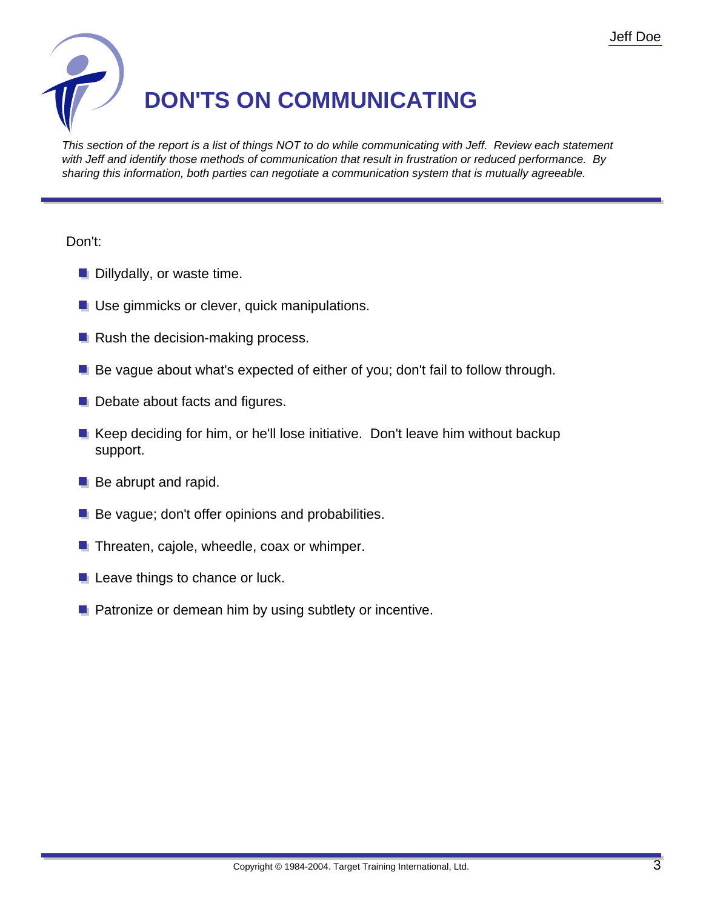

This section of the report is a list of things NOT to do while communicating with Jeff. Review each statement with Jeff and identify those methods of communication that result in frustration or reduced performance. By sharing this information, both parties can negotiate a communication system that is mutually agreeable.

## Don't:

- **Dillydally, or waste time.**
- **Use gimmicks or clever, quick manipulations.**
- $\blacksquare$  Rush the decision-making process.
- **Be vague about what's expected of either of you; don't fail to follow through.**
- Debate about facts and figures.
- **Keep deciding for him, or he'll lose initiative. Don't leave him without backup** support.
- **Be abrupt and rapid.**
- $\blacksquare$  Be vague; don't offer opinions and probabilities.
- $\blacksquare$  Threaten, cajole, wheedle, coax or whimper.
- **L** Leave things to chance or luck.
- **Patronize or demean him by using subtlety or incentive.**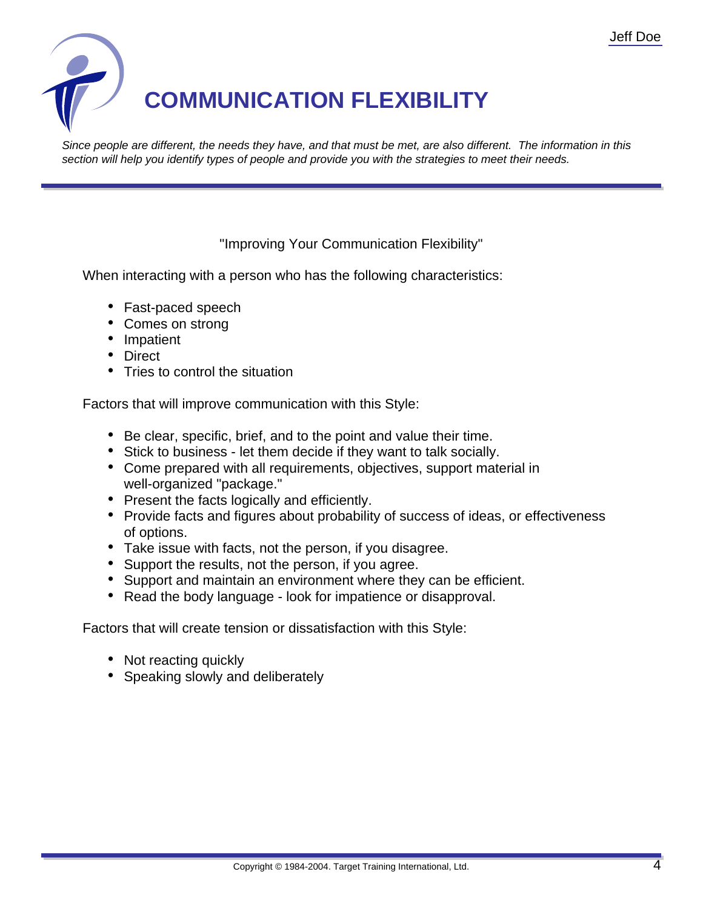

Since people are different, the needs they have, and that must be met, are also different. The information in this section will help you identify types of people and provide you with the strategies to meet their needs.

"Improving Your Communication Flexibility"

When interacting with a person who has the following characteristics:

- Fast-paced speech
- Comes on strong
- Impatient
- Direct
- Tries to control the situation

Factors that will improve communication with this Style:

- Be clear, specific, brief, and to the point and value their time.
- Stick to business let them decide if they want to talk socially.
- Come prepared with all requirements, objectives, support material in well-organized "package."
- Present the facts logically and efficiently.
- Provide facts and figures about probability of success of ideas, or effectiveness of options.
- Take issue with facts, not the person, if you disagree.
- Support the results, not the person, if you agree.
- Support and maintain an environment where they can be efficient.
- Read the body language look for impatience or disapproval.

- Not reacting quickly
- Speaking slowly and deliberately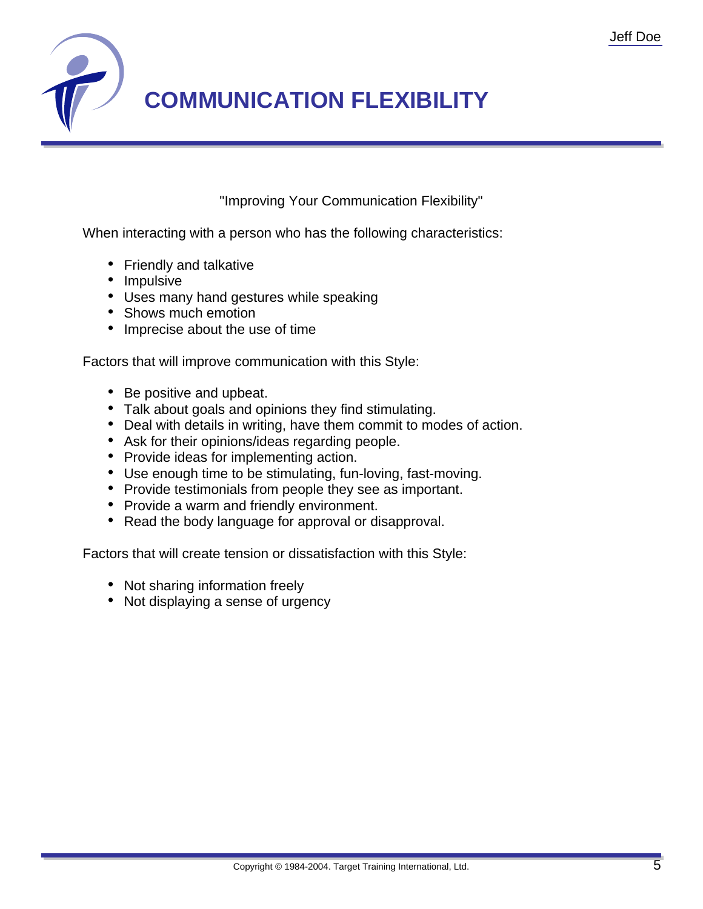

"Improving Your Communication Flexibility"

When interacting with a person who has the following characteristics:

- Friendly and talkative
- Impulsive
- Uses many hand gestures while speaking
- Shows much emotion
- Imprecise about the use of time

Factors that will improve communication with this Style:

- Be positive and upbeat.
- Talk about goals and opinions they find stimulating.
- Deal with details in writing, have them commit to modes of action.
- Ask for their opinions/ideas regarding people.
- Provide ideas for implementing action.
- Use enough time to be stimulating, fun-loving, fast-moving.
- Provide testimonials from people they see as important.
- Provide a warm and friendly environment.
- Read the body language for approval or disapproval.

- Not sharing information freely
- Not displaying a sense of urgency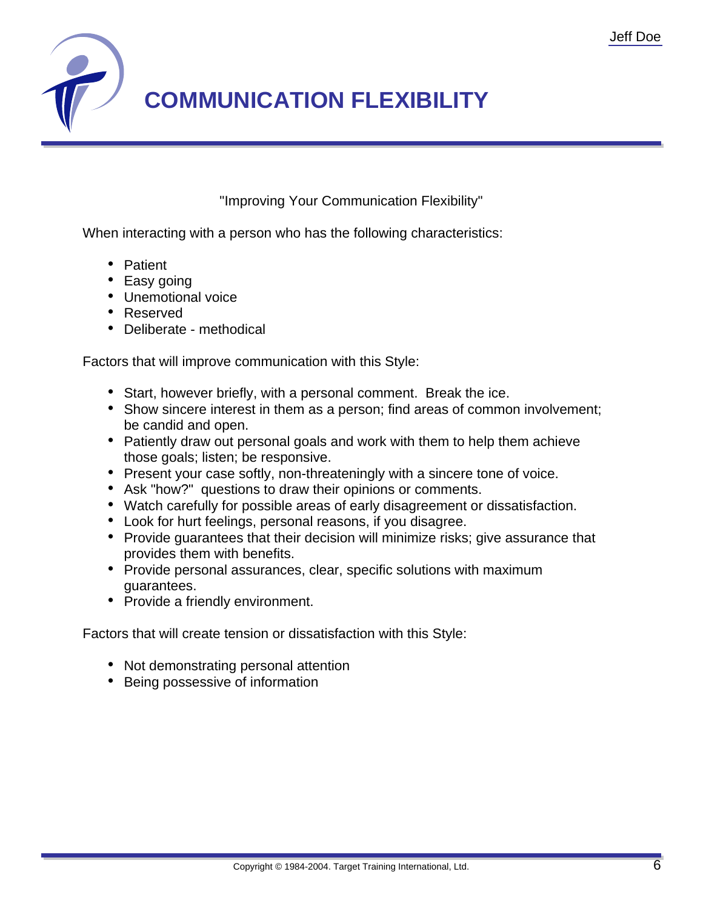

"Improving Your Communication Flexibility"

When interacting with a person who has the following characteristics:

- Patient
- Easy going
- Unemotional voice
- Reserved
- Deliberate methodical

Factors that will improve communication with this Style:

- Start, however briefly, with a personal comment. Break the ice.
- Show sincere interest in them as a person; find areas of common involvement; be candid and open.
- Patiently draw out personal goals and work with them to help them achieve those goals; listen; be responsive.
- Present your case softly, non-threateningly with a sincere tone of voice.
- Ask "how?" questions to draw their opinions or comments.
- Watch carefully for possible areas of early disagreement or dissatisfaction.
- Look for hurt feelings, personal reasons, if you disagree.
- Provide guarantees that their decision will minimize risks; give assurance that provides them with benefits.
- Provide personal assurances, clear, specific solutions with maximum guarantees.
- Provide a friendly environment.

- Not demonstrating personal attention
- Being possessive of information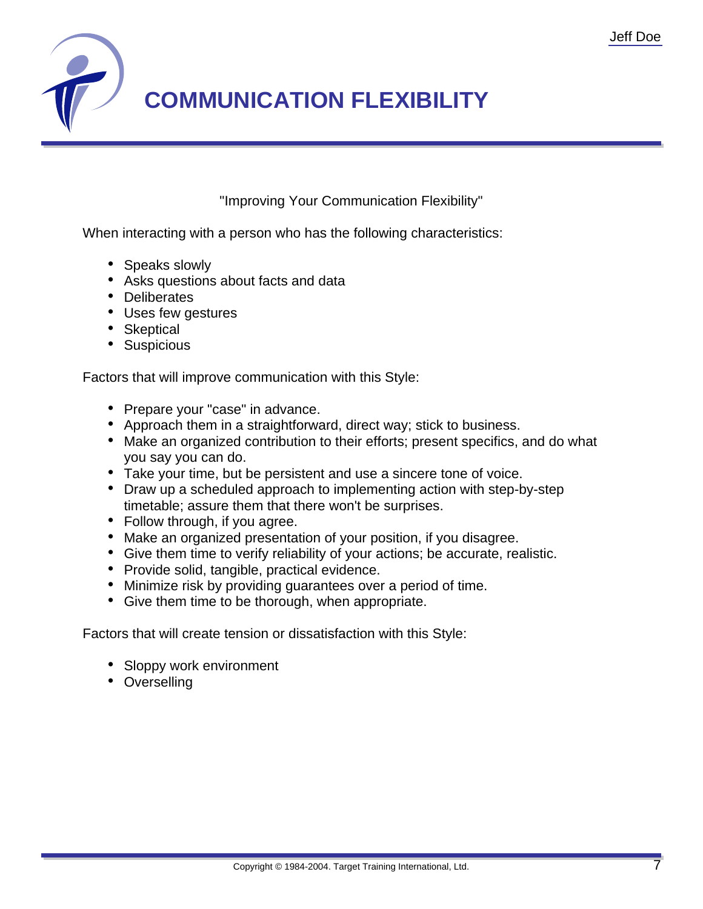

"Improving Your Communication Flexibility"

When interacting with a person who has the following characteristics:

- Speaks slowly
- Asks questions about facts and data
- Deliberates
- Uses few gestures
- Skeptical
- Suspicious

Factors that will improve communication with this Style:

- Prepare your "case" in advance.
- Approach them in a straightforward, direct way; stick to business.
- Make an organized contribution to their efforts; present specifics, and do what you say you can do.
- Take your time, but be persistent and use a sincere tone of voice.
- Draw up a scheduled approach to implementing action with step-by-step timetable; assure them that there won't be surprises.
- Follow through, if you agree.
- Make an organized presentation of your position, if you disagree.
- Give them time to verify reliability of your actions; be accurate, realistic.
- Provide solid, tangible, practical evidence.
- Minimize risk by providing guarantees over a period of time.
- Give them time to be thorough, when appropriate.

- Sloppy work environment
- Overselling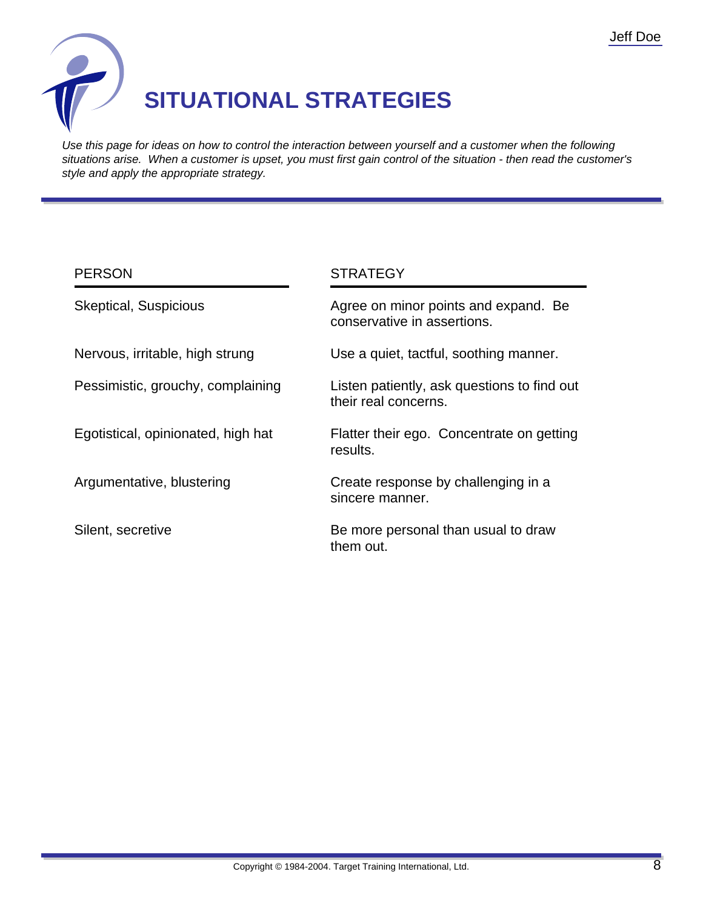

## **SITUATIONAL STRATEGIES**

Use this page for ideas on how to control the interaction between yourself and a customer when the following situations arise. When a customer is upset, you must first gain control of the situation - then read the customer's style and apply the appropriate strategy.

| <b>PERSON</b>                      | <b>STRATEGY</b>                                                     |
|------------------------------------|---------------------------------------------------------------------|
| <b>Skeptical, Suspicious</b>       | Agree on minor points and expand. Be<br>conservative in assertions. |
| Nervous, irritable, high strung    | Use a quiet, tactful, soothing manner.                              |
| Pessimistic, grouchy, complaining  | Listen patiently, ask questions to find out<br>their real concerns. |
| Egotistical, opinionated, high hat | Flatter their ego. Concentrate on getting<br>results.               |
| Argumentative, blustering          | Create response by challenging in a<br>sincere manner.              |
| Silent, secretive                  | Be more personal than usual to draw<br>them out.                    |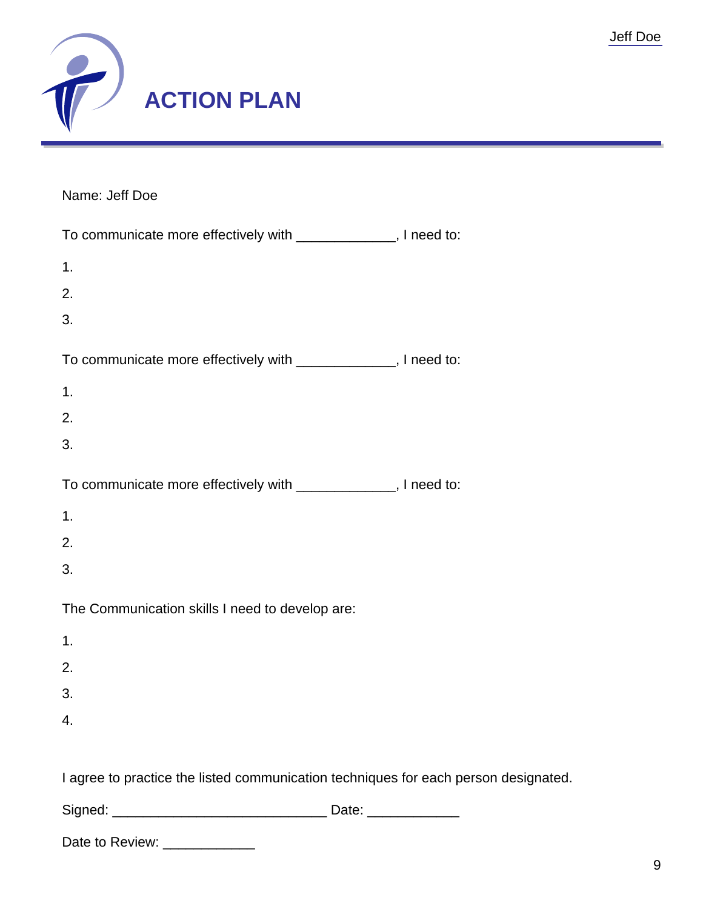

Name: Jeff Doe

| To communicate more effectively with ______________, I need to:                     |  |
|-------------------------------------------------------------------------------------|--|
| 1.                                                                                  |  |
| 2.                                                                                  |  |
| 3.                                                                                  |  |
| To communicate more effectively with ______________, I need to:                     |  |
| 1.                                                                                  |  |
| 2.                                                                                  |  |
| 3.                                                                                  |  |
| To communicate more effectively with ______________, I need to:                     |  |
| 1.                                                                                  |  |
| 2.                                                                                  |  |
| 3.                                                                                  |  |
| The Communication skills I need to develop are:                                     |  |
| 1.                                                                                  |  |
| 2.                                                                                  |  |
| 3.                                                                                  |  |
| 4.                                                                                  |  |
| I agree to practice the listed communication techniques for each person designated. |  |
|                                                                                     |  |
| Date to Review: _____________                                                       |  |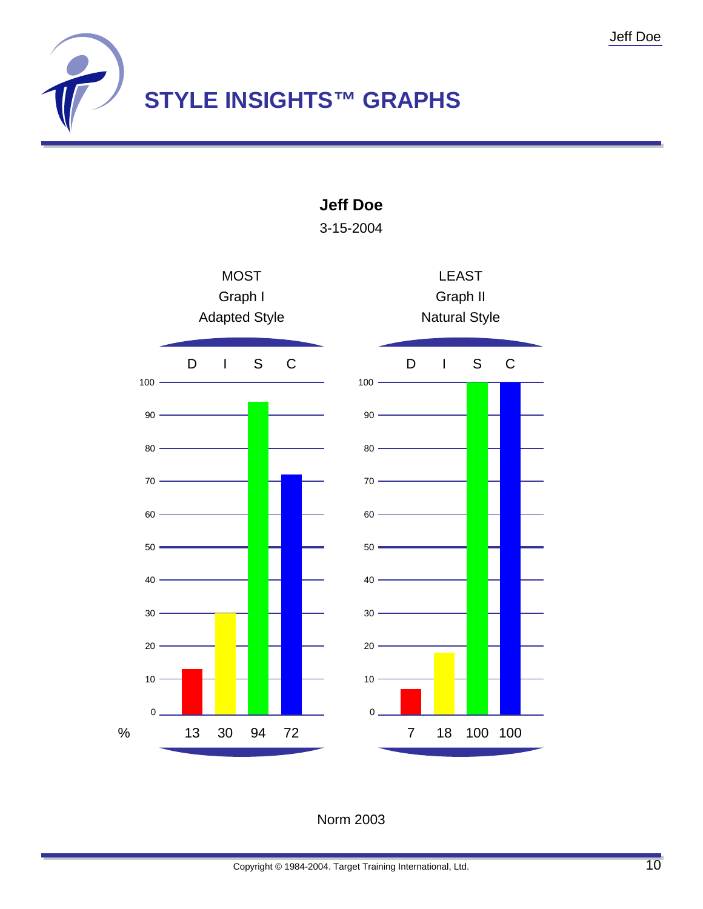

**MOST** Graph I Adapted Style D I S C LEAST Graph II Natural Style D I S C 0  $10 -$ 20 30 40 50 60 70 80 90  $100 -$ 0  $10 20 \cdot$ 30 40 50 60 70 80 90  $100 -$ % 13 30 94 72 7 18 100 100

**Jeff Doe**

3-15-2004

Norm 2003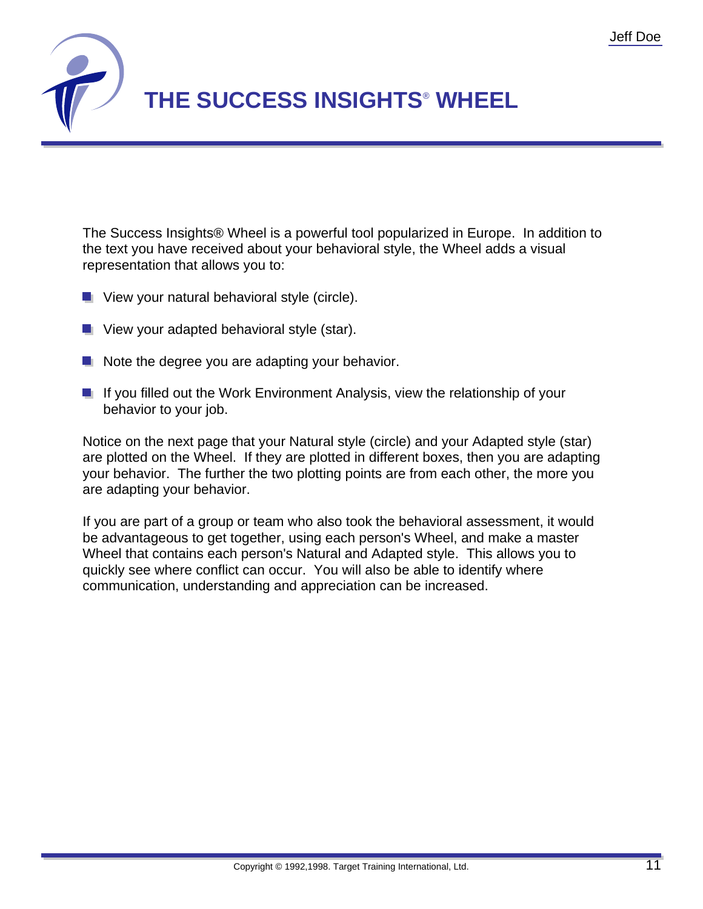

The Success Insights® Wheel is a powerful tool popularized in Europe. In addition to the text you have received about your behavioral style, the Wheel adds a visual representation that allows you to:

- $\blacksquare$  View your natural behavioral style (circle).
- **U** View your adapted behavioral style (star).
- $\blacksquare$  Note the degree you are adapting your behavior.
- If you filled out the Work Environment Analysis, view the relationship of your behavior to your job.

Notice on the next page that your Natural style (circle) and your Adapted style (star) are plotted on the Wheel. If they are plotted in different boxes, then you are adapting your behavior. The further the two plotting points are from each other, the more you are adapting your behavior.

If you are part of a group or team who also took the behavioral assessment, it would be advantageous to get together, using each person's Wheel, and make a master Wheel that contains each person's Natural and Adapted style. This allows you to quickly see where conflict can occur. You will also be able to identify where communication, understanding and appreciation can be increased.